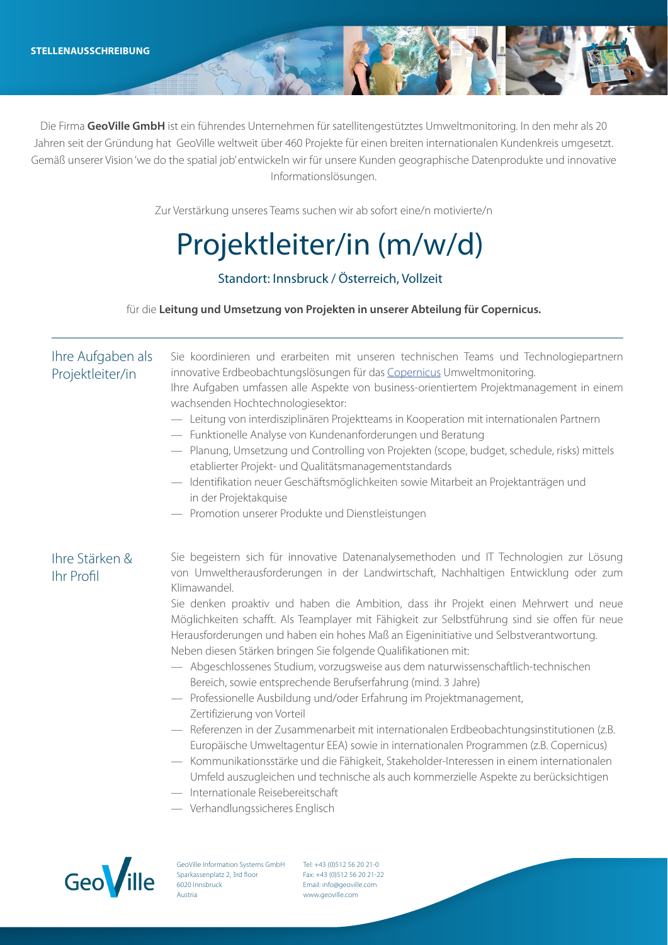Die Firma **GeoVille GmbH** ist ein führendes Unternehmen für satellitengestütztes Umweltmonitoring. In den mehr als 20 Jahren seit der Gründung hat GeoVille weltweit über 460 Projekte für einen breiten internationalen Kundenkreis umgesetzt. Gemäß unserer Vision 'we do the spatial job' entwickeln wir für unsere Kunden geographische Datenprodukte und innovative Informationslösungen.

Zur Verstärkung unseres Teams suchen wir ab sofort eine/n motivierte/n

# Projektleiter/in (m/w/d)

## Standort: Innsbruck / Österreich, Vollzeit

für die **Leitung und Umsetzung von Projekten in unserer Abteilung für Copernicus.**

### Ihre Stärken & Ihr Profil Sie begeistern sich für innovative Datenanalysemethoden und IT Technologien zur Lösung von Umweltherausforderungen in der Landwirtschaft, Nachhaltigen Entwicklung oder zum Klimawandel. Sie denken proaktiv und haben die Ambition, dass ihr Projekt einen Mehrwert und neue Möglichkeiten schafft. Als Teamplayer mit Fähigkeit zur Selbstführung sind sie offen für neue Herausforderungen und haben ein hohes Maß an Eigeninitiative und Selbstverantwortung. Neben diesen Stärken bringen Sie folgende Qualifikationen mit: — Abgeschlossenes Studium, vorzugsweise aus dem naturwissenschaftlich-technischen Bereich, sowie entsprechende Berufserfahrung (mind. 3 Jahre) — Professionelle Ausbildung und/oder Erfahrung im Projektmanagement, Zertifizierung von Vorteil — Referenzen in der Zusammenarbeit mit internationalen Erdbeobachtungsinstitutionen (z.B. Europäische Umweltagentur EEA) sowie in internationalen Programmen (z.B. Copernicus) — Kommunikationsstärke und die Fähigkeit, Stakeholder-Interessen in einem internationalen Umfeld auszugleichen und technische als auch kommerzielle Aspekte zu berücksichtigen — Internationale Reisebereitschaft — Verhandlungssicheres Englisch Ihre Aufgaben als Projektleiter/in Sie koordinieren und erarbeiten mit unseren technischen Teams und Technologiepartnern innovative Erdbeobachtungslösungen für das Copernicus Umweltmonitoring. Ihre Aufgaben umfassen alle Aspekte von business-orientiertem Projektmanagement in einem wachsenden Hochtechnologiesektor: — Leitung von interdisziplinären Projektteams in Kooperation mit internationalen Partnern — Funktionelle Analyse von Kundenanforderungen und Beratung — Planung, Umsetzung und Controlling von Projekten (scope, budget, schedule, risks) mittels etablierter Projekt- und Qualitätsmanagementstandards — Identifikation neuer Geschäftsmöglichkeiten sowie Mitarbeit an Projektanträgen und in der Projektakquise — Promotion unserer Produkte und Dienstleistungen



GeoVille Information Systems GmbH Sparkassenplatz 2, 3rd floor 6020 Innsbruck Austria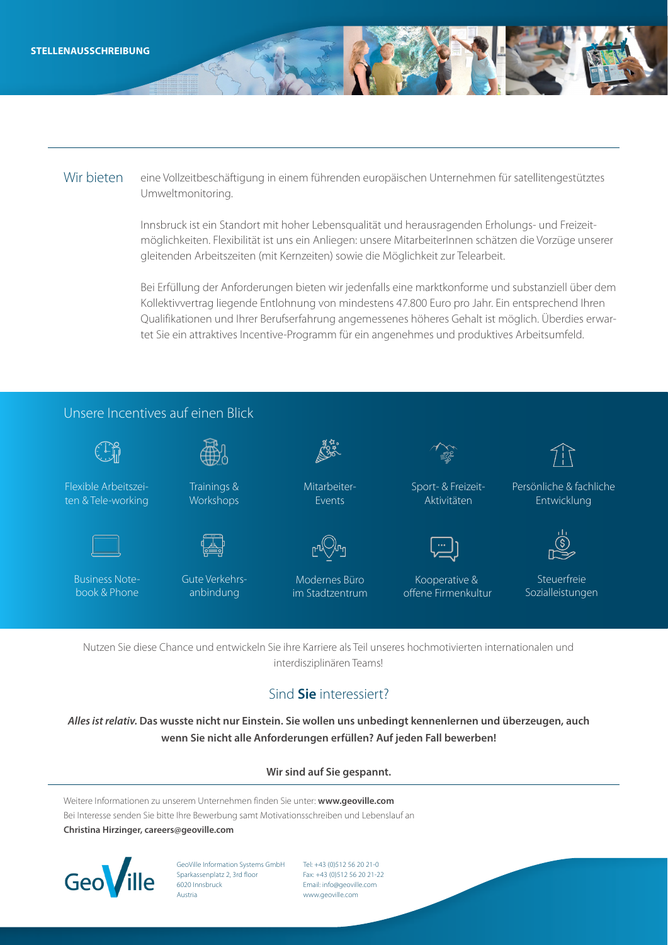#### Wir bieten eine Vollzeitbeschäftigung in einem führenden europäischen Unternehmen für satellitengestütztes Umweltmonitoring.

Innsbruck ist ein Standort mit hoher Lebensqualität und herausragenden Erholungs- und Freizeitmöglichkeiten. Flexibilität ist uns ein Anliegen: unsere MitarbeiterInnen schätzen die Vorzüge unserer gleitenden Arbeitszeiten (mit Kernzeiten) sowie die Möglichkeit zur Telearbeit.

Bei Erfüllung der Anforderungen bieten wir jedenfalls eine marktkonforme und substanziell über dem Kollektivvertrag liegende Entlohnung von mindestens 47.800 Euro pro Jahr. Ein entsprechend Ihren Qualifikationen und Ihrer Berufserfahrung angemessenes höheres Gehalt ist möglich. Überdies erwartet Sie ein attraktives Incentive-Programm für ein angenehmes und produktives Arbeitsumfeld.



Nutzen Sie diese Chance und entwickeln Sie ihre Karriere als Teil unseres hochmotivierten internationalen und interdisziplinären Teams!

## Sind **Sie** interessiert?

*Alles ist relativ.* **Das wusste nicht nur Einstein. Sie wollen uns unbedingt kennenlernen und überzeugen, auch wenn Sie nicht alle Anforderungen erfüllen? Auf jeden Fall bewerben!**

#### **Wir sind auf Sie gespannt.**

Weitere Informationen zu unserem Unternehmen finden Sie unter: **www.geoville.com** Bei Interesse senden Sie bitte Ihre Bewerbung samt Motivationsschreiben und Lebenslauf an **Christina Hirzinger, careers@geoville.com**



GeoVille Information Systems GmbH Sparkassenplatz 2, 3rd floor 6020 Innsbruck Austria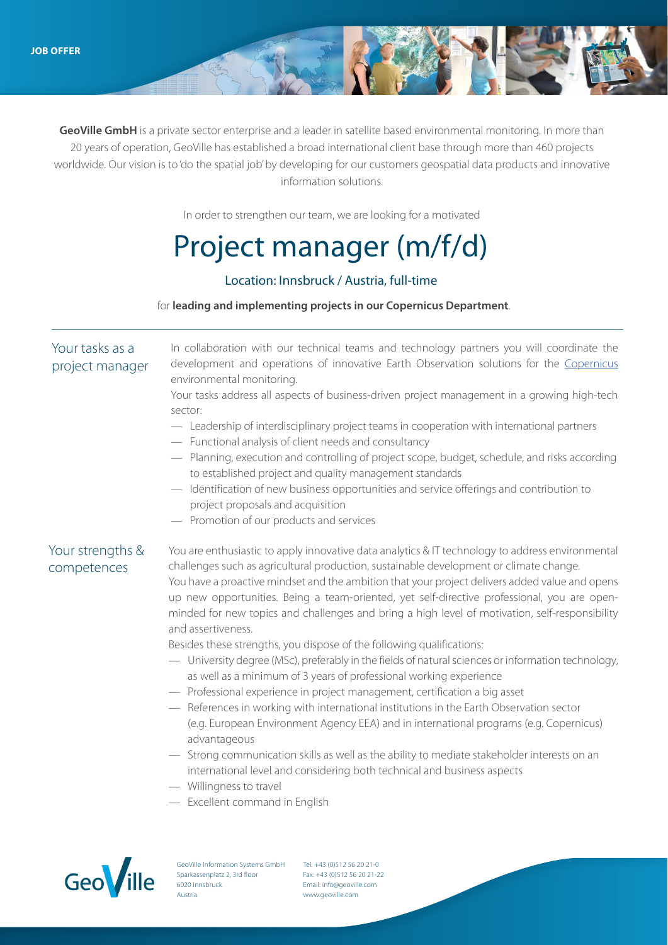**GeoVille GmbH** is a private sector enterprise and a leader in satellite based environmental monitoring. In more than 20 years of operation, GeoVille has established a broad international client base through more than 460 projects worldwide. Our vision is to 'do the spatial job' by developing for our customers geospatial data products and innovative information solutions.

In order to strengthen our team, we are looking for a motivated

## Project manager (m/f/d)

#### Location: Innsbruck / Austria, full-time

#### for **leading and implementing projects in our Copernicus Department**.

#### Your tasks as a project manager In collaboration with our technical teams and technology partners you will coordinate the development and operations of innovative Earth Observation solutions for the Copernicus environmental monitoring. Your tasks address all aspects of business-driven project management in a growing high-tech sector:

- Leadership of interdisciplinary project teams in cooperation with international partners
- Functional analysis of client needs and consultancy
- Planning, execution and controlling of project scope, budget, schedule, and risks according to established project and quality management standards
- Identification of new business opportunities and service offerings and contribution to project proposals and acquisition
- Promotion of our products and services

## Your strengths & competences

You are enthusiastic to apply innovative data analytics & IT technology to address environmental challenges such as agricultural production, sustainable development or climate change. You have a proactive mindset and the ambition that your project delivers added value and opens up new opportunities. Being a team-oriented, yet self-directive professional, you are openminded for new topics and challenges and bring a high level of motivation, self-responsibility and assertiveness.

Besides these strengths, you dispose of the following qualifications:

- University degree (MSc), preferably in the fields of natural sciences or information technology, as well as a minimum of 3 years of professional working experience
- Professional experience in project management, certification a big asset
- References in working with international institutions in the Earth Observation sector (e.g. European Environment Agency EEA) and in international programs (e.g. Copernicus) advantageous
- Strong communication skills as well as the ability to mediate stakeholder interests on an international level and considering both technical and business aspects
- Willingness to travel
- Excellent command in English



GeoVille Information Systems GmbH Sparkassenplatz 2, 3rd floor 6020 Innsbruck Austria